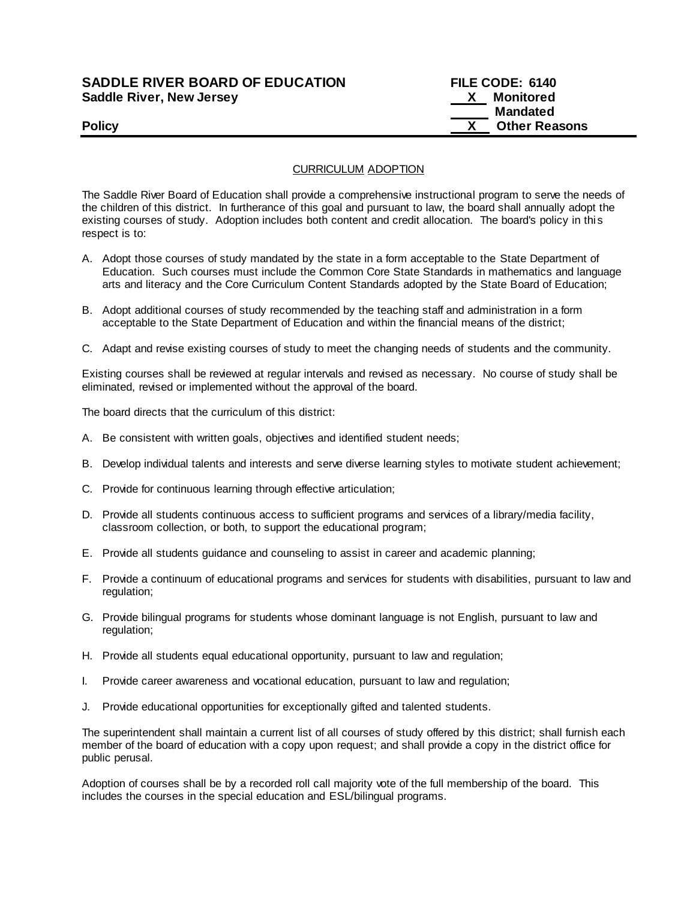## **SADDLE RIVER BOARD OF EDUCATION FILE CODE: 6140 Saddle River, New Jersey New York Constrainers Avenue Allen Avenue Avenue Avenue Avenue Avenue Avenue Avenue Ave**

## **Mandated Policy CONSERVING CONSERVANCE CONSERVANCE CONSERVANCE CONSERVANCE CONSERVANCE CONSERVANCE CONSERVANCE CONSERVANCE CONSERVANCE CONSERVANCE CONSERVANCE CONSERVANCE CONSERVANCE CONSERVANCE CONSERVANCE CONSERVANCE CONSERVAN**

CURRICULUM ADOPTION

The Saddle River Board of Education shall provide a comprehensive instructional program to serve the needs of the children of this district. In furtherance of this goal and pursuant to law, the board shall annually adopt the existing courses of study. Adoption includes both content and credit allocation. The board's policy in this respect is to:

- A. Adopt those courses of study mandated by the state in a form acceptable to the State Department of Education. Such courses must include the Common Core State Standards in mathematics and language arts and literacy and the Core Curriculum Content Standards adopted by the State Board of Education;
- B. Adopt additional courses of study recommended by the teaching staff and administration in a form acceptable to the State Department of Education and within the financial means of the district;
- C. Adapt and revise existing courses of study to meet the changing needs of students and the community.

Existing courses shall be reviewed at regular intervals and revised as necessary. No course of study shall be eliminated, revised or implemented without the approval of the board.

The board directs that the curriculum of this district:

- A. Be consistent with written goals, objectives and identified student needs;
- B. Develop individual talents and interests and serve diverse learning styles to motivate student achievement;
- C. Provide for continuous learning through effective articulation;
- D. Provide all students continuous access to sufficient programs and services of a library/media facility, classroom collection, or both, to support the educational program;
- E. Provide all students guidance and counseling to assist in career and academic planning;
- F. Provide a continuum of educational programs and services for students with disabilities, pursuant to law and regulation;
- G. Provide bilingual programs for students whose dominant language is not English, pursuant to law and regulation;
- H. Provide all students equal educational opportunity, pursuant to law and regulation;
- I. Provide career awareness and vocational education, pursuant to law and regulation;
- J. Provide educational opportunities for exceptionally gifted and talented students.

The superintendent shall maintain a current list of all courses of study offered by this district; shall furnish each member of the board of education with a copy upon request; and shall provide a copy in the district office for public perusal.

Adoption of courses shall be by a recorded roll call majority vote of the full membership of the board. This includes the courses in the special education and ESL/bilingual programs.